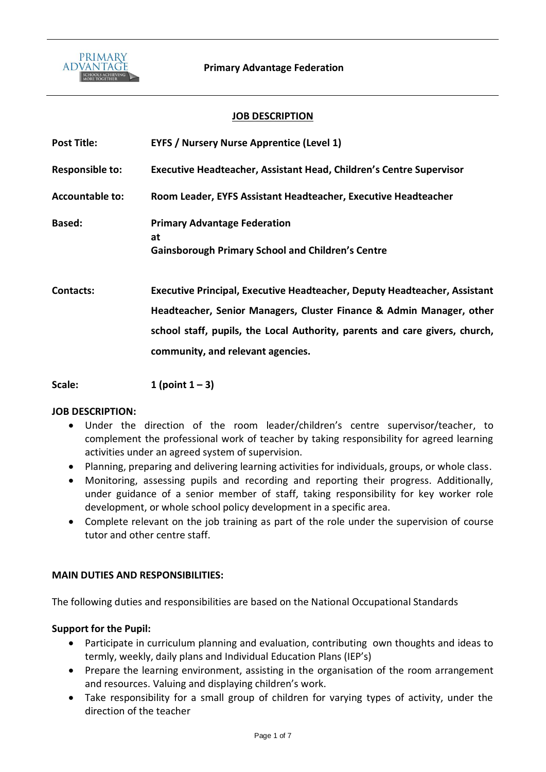

### **JOB DESCRIPTION**

| <b>Post Title:</b>     | <b>EYFS / Nursery Nurse Apprentice (Level 1)</b>                                                                                                                                                                                                                      |
|------------------------|-----------------------------------------------------------------------------------------------------------------------------------------------------------------------------------------------------------------------------------------------------------------------|
| <b>Responsible to:</b> | Executive Headteacher, Assistant Head, Children's Centre Supervisor                                                                                                                                                                                                   |
| <b>Accountable to:</b> | Room Leader, EYFS Assistant Headteacher, Executive Headteacher                                                                                                                                                                                                        |
| <b>Based:</b>          | <b>Primary Advantage Federation</b><br>at<br><b>Gainsborough Primary School and Children's Centre</b>                                                                                                                                                                 |
| <b>Contacts:</b>       | Executive Principal, Executive Headteacher, Deputy Headteacher, Assistant<br>Headteacher, Senior Managers, Cluster Finance & Admin Manager, other<br>school staff, pupils, the Local Authority, parents and care givers, church,<br>community, and relevant agencies. |

#### **JOB DESCRIPTION:**

**Scale: 1 (point 1 – 3)**

- Under the direction of the room leader/children's centre supervisor/teacher, to complement the professional work of teacher by taking responsibility for agreed learning activities under an agreed system of supervision.
- Planning, preparing and delivering learning activities for individuals, groups, or whole class.
- Monitoring, assessing pupils and recording and reporting their progress. Additionally, under guidance of a senior member of staff, taking responsibility for key worker role development, or whole school policy development in a specific area.
- Complete relevant on the job training as part of the role under the supervision of course tutor and other centre staff.

# **MAIN DUTIES AND RESPONSIBILITIES:**

The following duties and responsibilities are based on the National Occupational Standards

# **Support for the Pupil:**

- Participate in curriculum planning and evaluation, contributing own thoughts and ideas to termly, weekly, daily plans and Individual Education Plans (IEP's)
- Prepare the learning environment, assisting in the organisation of the room arrangement and resources. Valuing and displaying children's work.
- Take responsibility for a small group of children for varying types of activity, under the direction of the teacher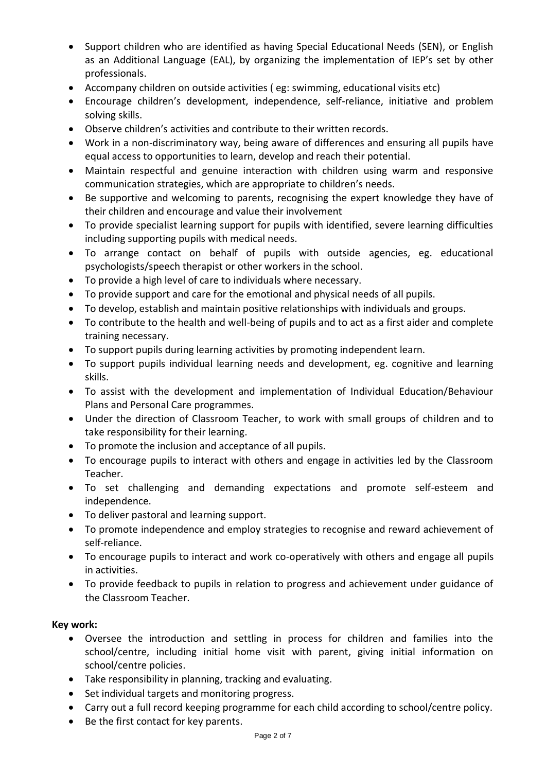- Support children who are identified as having Special Educational Needs (SEN), or English as an Additional Language (EAL), by organizing the implementation of IEP's set by other professionals.
- Accompany children on outside activities ( eg: swimming, educational visits etc)
- Encourage children's development, independence, self-reliance, initiative and problem solving skills.
- Observe children's activities and contribute to their written records.
- Work in a non-discriminatory way, being aware of differences and ensuring all pupils have equal access to opportunities to learn, develop and reach their potential.
- Maintain respectful and genuine interaction with children using warm and responsive communication strategies, which are appropriate to children's needs.
- Be supportive and welcoming to parents, recognising the expert knowledge they have of their children and encourage and value their involvement
- To provide specialist learning support for pupils with identified, severe learning difficulties including supporting pupils with medical needs.
- To arrange contact on behalf of pupils with outside agencies, eg. educational psychologists/speech therapist or other workers in the school.
- To provide a high level of care to individuals where necessary.
- To provide support and care for the emotional and physical needs of all pupils.
- To develop, establish and maintain positive relationships with individuals and groups.
- To contribute to the health and well-being of pupils and to act as a first aider and complete training necessary.
- To support pupils during learning activities by promoting independent learn.
- To support pupils individual learning needs and development, eg. cognitive and learning skills.
- To assist with the development and implementation of Individual Education/Behaviour Plans and Personal Care programmes.
- Under the direction of Classroom Teacher, to work with small groups of children and to take responsibility for their learning.
- To promote the inclusion and acceptance of all pupils.
- To encourage pupils to interact with others and engage in activities led by the Classroom Teacher.
- To set challenging and demanding expectations and promote self-esteem and independence.
- To deliver pastoral and learning support.
- To promote independence and employ strategies to recognise and reward achievement of self-reliance.
- To encourage pupils to interact and work co-operatively with others and engage all pupils in activities.
- To provide feedback to pupils in relation to progress and achievement under guidance of the Classroom Teacher.

# **Key work:**

- Oversee the introduction and settling in process for children and families into the school/centre, including initial home visit with parent, giving initial information on school/centre policies.
- Take responsibility in planning, tracking and evaluating.
- Set individual targets and monitoring progress.
- Carry out a full record keeping programme for each child according to school/centre policy.
- Be the first contact for key parents.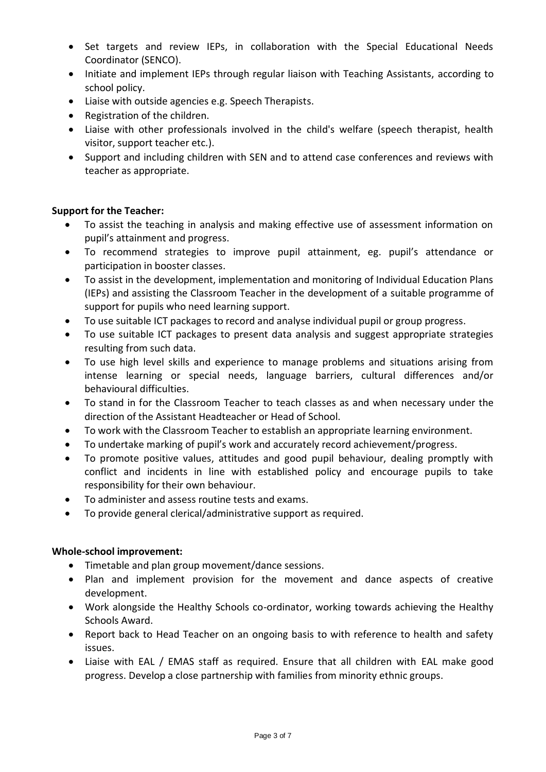- Set targets and review IEPs, in collaboration with the Special Educational Needs Coordinator (SENCO).
- Initiate and implement IEPs through regular liaison with Teaching Assistants, according to school policy.
- Liaise with outside agencies e.g. Speech Therapists.
- Registration of the children.
- Liaise with other professionals involved in the child's welfare (speech therapist, health visitor, support teacher etc.).
- Support and including children with SEN and to attend case conferences and reviews with teacher as appropriate.

# **Support for the Teacher:**

- To assist the teaching in analysis and making effective use of assessment information on pupil's attainment and progress.
- To recommend strategies to improve pupil attainment, eg. pupil's attendance or participation in booster classes.
- To assist in the development, implementation and monitoring of Individual Education Plans (IEPs) and assisting the Classroom Teacher in the development of a suitable programme of support for pupils who need learning support.
- To use suitable ICT packages to record and analyse individual pupil or group progress.
- To use suitable ICT packages to present data analysis and suggest appropriate strategies resulting from such data.
- To use high level skills and experience to manage problems and situations arising from intense learning or special needs, language barriers, cultural differences and/or behavioural difficulties.
- To stand in for the Classroom Teacher to teach classes as and when necessary under the direction of the Assistant Headteacher or Head of School.
- To work with the Classroom Teacher to establish an appropriate learning environment.
- To undertake marking of pupil's work and accurately record achievement/progress.
- To promote positive values, attitudes and good pupil behaviour, dealing promptly with conflict and incidents in line with established policy and encourage pupils to take responsibility for their own behaviour.
- To administer and assess routine tests and exams.
- To provide general clerical/administrative support as required.

# **Whole-school improvement:**

- Timetable and plan group movement/dance sessions.
- Plan and implement provision for the movement and dance aspects of creative development.
- Work alongside the Healthy Schools co-ordinator, working towards achieving the Healthy Schools Award.
- Report back to Head Teacher on an ongoing basis to with reference to health and safety issues.
- Liaise with EAL / EMAS staff as required. Ensure that all children with EAL make good progress. Develop a close partnership with families from minority ethnic groups.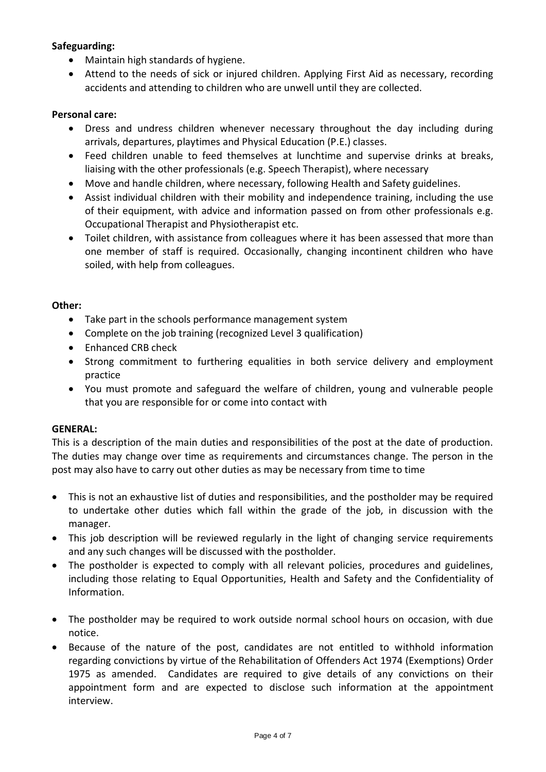# **Safeguarding:**

- Maintain high standards of hygiene.
- Attend to the needs of sick or injured children. Applying First Aid as necessary, recording accidents and attending to children who are unwell until they are collected.

# **Personal care:**

- Dress and undress children whenever necessary throughout the day including during arrivals, departures, playtimes and Physical Education (P.E.) classes.
- Feed children unable to feed themselves at lunchtime and supervise drinks at breaks, liaising with the other professionals (e.g. Speech Therapist), where necessary
- Move and handle children, where necessary, following Health and Safety guidelines.
- Assist individual children with their mobility and independence training, including the use of their equipment, with advice and information passed on from other professionals e.g. Occupational Therapist and Physiotherapist etc.
- Toilet children, with assistance from colleagues where it has been assessed that more than one member of staff is required. Occasionally, changing incontinent children who have soiled, with help from colleagues.

# **Other:**

- Take part in the schools performance management system
- Complete on the job training (recognized Level 3 qualification)
- Enhanced CRB check
- Strong commitment to furthering equalities in both service delivery and employment practice
- You must promote and safeguard the welfare of children, young and vulnerable people that you are responsible for or come into contact with

# **GENERAL:**

This is a description of the main duties and responsibilities of the post at the date of production. The duties may change over time as requirements and circumstances change. The person in the post may also have to carry out other duties as may be necessary from time to time

- This is not an exhaustive list of duties and responsibilities, and the postholder may be required to undertake other duties which fall within the grade of the job, in discussion with the manager.
- This job description will be reviewed regularly in the light of changing service requirements and any such changes will be discussed with the postholder.
- The postholder is expected to comply with all relevant policies, procedures and guidelines, including those relating to Equal Opportunities, Health and Safety and the Confidentiality of Information.
- The postholder may be required to work outside normal school hours on occasion, with due notice.
- Because of the nature of the post, candidates are not entitled to withhold information regarding convictions by virtue of the Rehabilitation of Offenders Act 1974 (Exemptions) Order 1975 as amended. Candidates are required to give details of any convictions on their appointment form and are expected to disclose such information at the appointment interview.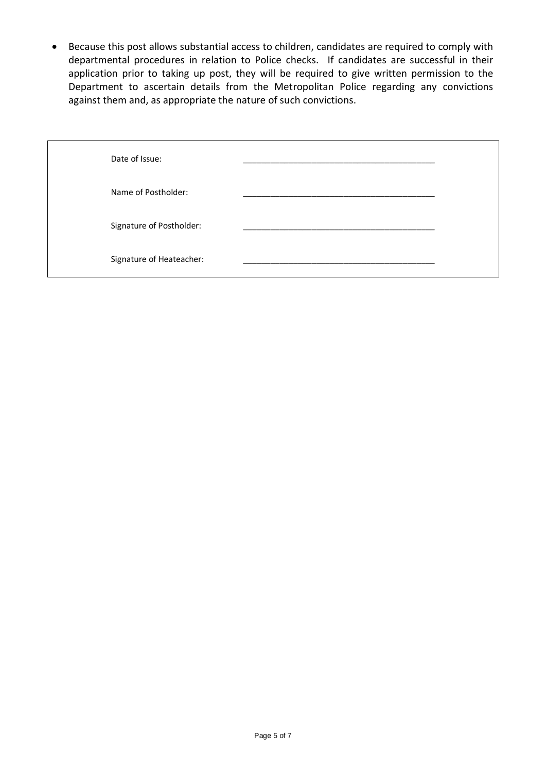• Because this post allows substantial access to children, candidates are required to comply with departmental procedures in relation to Police checks. If candidates are successful in their application prior to taking up post, they will be required to give written permission to the Department to ascertain details from the Metropolitan Police regarding any convictions against them and, as appropriate the nature of such convictions.

| Date of Issue:           |  |
|--------------------------|--|
| Name of Postholder:      |  |
| Signature of Postholder: |  |
| Signature of Heateacher: |  |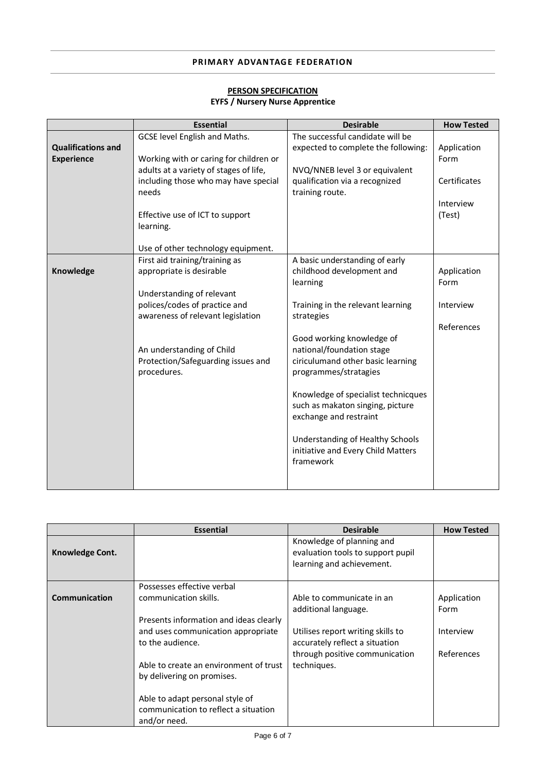### **PRIMARY ADVANTAGE FEDERATION**

#### **PERSON SPECIFICATION**

# **EYFS / Nursery Nurse Apprentice**

|                           | <b>Essential</b>                                           | <b>Desirable</b>                    | <b>How Tested</b> |
|---------------------------|------------------------------------------------------------|-------------------------------------|-------------------|
|                           | GCSE level English and Maths.                              | The successful candidate will be    |                   |
| <b>Qualifications and</b> |                                                            | expected to complete the following: | Application       |
| <b>Experience</b>         | Working with or caring for children or                     |                                     | Form              |
|                           | adults at a variety of stages of life,                     | NVQ/NNEB level 3 or equivalent      |                   |
|                           | including those who may have special                       | qualification via a recognized      | Certificates      |
|                           | needs                                                      | training route.                     |                   |
|                           |                                                            |                                     | Interview         |
|                           | Effective use of ICT to support                            |                                     | (Test)            |
|                           | learning.                                                  |                                     |                   |
|                           |                                                            |                                     |                   |
|                           | Use of other technology equipment.                         |                                     |                   |
|                           | First aid training/training as                             | A basic understanding of early      |                   |
| Knowledge                 | appropriate is desirable                                   | childhood development and           | Application       |
|                           |                                                            | learning                            | Form              |
|                           | Understanding of relevant<br>polices/codes of practice and | Training in the relevant learning   | Interview         |
|                           | awareness of relevant legislation                          | strategies                          |                   |
|                           |                                                            |                                     | References        |
|                           |                                                            | Good working knowledge of           |                   |
|                           | An understanding of Child                                  | national/foundation stage           |                   |
|                           | Protection/Safeguarding issues and                         | ciriculumand other basic learning   |                   |
|                           | procedures.                                                | programmes/stratagies               |                   |
|                           |                                                            |                                     |                   |
|                           |                                                            | Knowledge of specialist technicques |                   |
|                           |                                                            | such as makaton singing, picture    |                   |
|                           |                                                            | exchange and restraint              |                   |
|                           |                                                            |                                     |                   |
|                           |                                                            | Understanding of Healthy Schools    |                   |
|                           |                                                            | initiative and Every Child Matters  |                   |
|                           |                                                            | framework                           |                   |
|                           |                                                            |                                     |                   |

|                 | <b>Essential</b>                                                     | <b>Desirable</b>                                                                            | <b>How Tested</b>   |
|-----------------|----------------------------------------------------------------------|---------------------------------------------------------------------------------------------|---------------------|
| Knowledge Cont. |                                                                      | Knowledge of planning and<br>evaluation tools to support pupil<br>learning and achievement. |                     |
|                 | Possesses effective verbal                                           |                                                                                             |                     |
| Communication   | communication skills.                                                | Able to communicate in an<br>additional language.                                           | Application<br>Form |
|                 | Presents information and ideas clearly                               |                                                                                             |                     |
|                 | and uses communication appropriate<br>to the audience.               | Utilises report writing skills to<br>accurately reflect a situation                         | Interview           |
|                 |                                                                      | through positive communication                                                              | References          |
|                 | Able to create an environment of trust<br>by delivering on promises. | techniques.                                                                                 |                     |
|                 | Able to adapt personal style of                                      |                                                                                             |                     |
|                 | communication to reflect a situation                                 |                                                                                             |                     |
|                 | and/or need.                                                         |                                                                                             |                     |